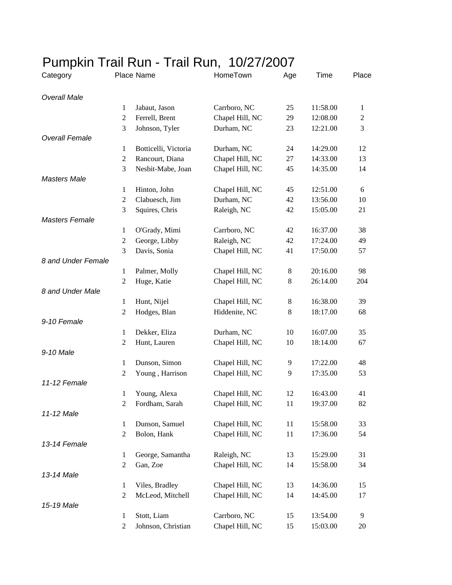## Pumpkin Trail Run - Trail Run, 10/27/2007

| Category              |                  | Place Name           | HomeTown        | Age   | Time     | Place          |
|-----------------------|------------------|----------------------|-----------------|-------|----------|----------------|
| <b>Overall Male</b>   |                  |                      |                 |       |          |                |
|                       | $\mathbf{1}$     | Jabaut, Jason        | Carrboro, NC    | 25    | 11:58.00 | $\mathbf{1}$   |
|                       | $\overline{c}$   | Ferrell, Brent       | Chapel Hill, NC | 29    | 12:08.00 | $\overline{2}$ |
|                       | 3                | Johnson, Tyler       | Durham, NC      | 23    | 12:21.00 | 3              |
| <b>Overall Female</b> |                  |                      |                 |       |          |                |
|                       | 1                | Botticelli, Victoria | Durham, NC      | 24    | 14:29.00 | 12             |
|                       | $\boldsymbol{2}$ | Rancourt, Diana      | Chapel Hill, NC | 27    | 14:33.00 | 13             |
|                       | 3                | Nesbit-Mabe, Joan    | Chapel Hill, NC | 45    | 14:35.00 | 14             |
| <b>Masters Male</b>   |                  |                      |                 |       |          |                |
|                       | $\mathbf{1}$     | Hinton, John         | Chapel Hill, NC | 45    | 12:51.00 | 6              |
|                       | $\mathfrak{2}$   | Clabuesch, Jim       | Durham, NC      | 42    | 13:56.00 | 10             |
|                       | 3                | Squires, Chris       | Raleigh, NC     | 42    | 15:05.00 | 21             |
| <b>Masters Female</b> |                  |                      |                 |       |          |                |
|                       | 1                | O'Grady, Mimi        | Carrboro, NC    | 42    | 16:37.00 | 38             |
|                       | $\mathfrak{2}$   | George, Libby        | Raleigh, NC     | 42    | 17:24.00 | 49             |
|                       | 3                | Davis, Sonia         | Chapel Hill, NC | 41    | 17:50.00 | 57             |
| 8 and Under Female    |                  |                      |                 |       |          |                |
|                       | $\mathbf{1}$     | Palmer, Molly        | Chapel Hill, NC | $8\,$ | 20:16.00 | 98             |
|                       | $\overline{2}$   | Huge, Katie          | Chapel Hill, NC | 8     | 26:14.00 | 204            |
| 8 and Under Male      |                  |                      |                 |       |          |                |
|                       | $\mathbf{1}$     | Hunt, Nijel          | Chapel Hill, NC | $8\,$ | 16:38.00 | 39             |
|                       | $\mathbf{2}$     | Hodges, Blan         | Hiddenite, NC   | $8\,$ | 18:17.00 | 68             |
| 9-10 Female           |                  |                      |                 |       |          |                |
|                       | 1                | Dekker, Eliza        | Durham, NC      | 10    | 16:07.00 | 35             |
|                       | $\mathbf{2}$     | Hunt, Lauren         | Chapel Hill, NC | 10    | 18:14.00 | 67             |
| 9-10 Male             |                  |                      |                 |       |          |                |
|                       | 1                | Dunson, Simon        | Chapel Hill, NC | 9     | 17:22.00 | 48             |
|                       | 2                | Young, Harrison      | Chapel Hill, NC | 9     | 17:35.00 | 53             |
| 11-12 Female          |                  |                      |                 |       |          |                |
|                       | 1                | Young, Alexa         | Chapel Hill, NC | 12    | 16:43.00 | 41             |
|                       | 2                | Fordham, Sarah       | Chapel Hill, NC | 11    | 19:37.00 | 82             |
| 11-12 Male            |                  |                      |                 |       |          |                |
|                       | $\mathbf{1}$     | Dunson, Samuel       | Chapel Hill, NC | 11    | 15:58.00 | 33             |
|                       | $\mathfrak{2}$   | Bolon, Hank          | Chapel Hill, NC | 11    | 17:36.00 | 54             |
| 13-14 Female          |                  |                      |                 |       |          |                |
|                       | 1                | George, Samantha     | Raleigh, NC     | 13    | 15:29.00 | 31             |
|                       | $\overline{c}$   | Gan, Zoe             | Chapel Hill, NC | 14    | 15:58.00 | 34             |
| 13-14 Male            |                  |                      |                 |       |          |                |
|                       | $\mathbf{1}$     | Viles, Bradley       | Chapel Hill, NC | 13    | 14:36.00 | 15             |
|                       | $\boldsymbol{2}$ | McLeod, Mitchell     | Chapel Hill, NC | 14    | 14:45.00 | 17             |
| 15-19 Male            |                  |                      |                 |       |          |                |
|                       | 1                | Stott, Liam          | Carrboro, NC    | 15    | 13:54.00 | 9              |
|                       | $\boldsymbol{2}$ | Johnson, Christian   | Chapel Hill, NC | 15    | 15:03.00 | $20\,$         |